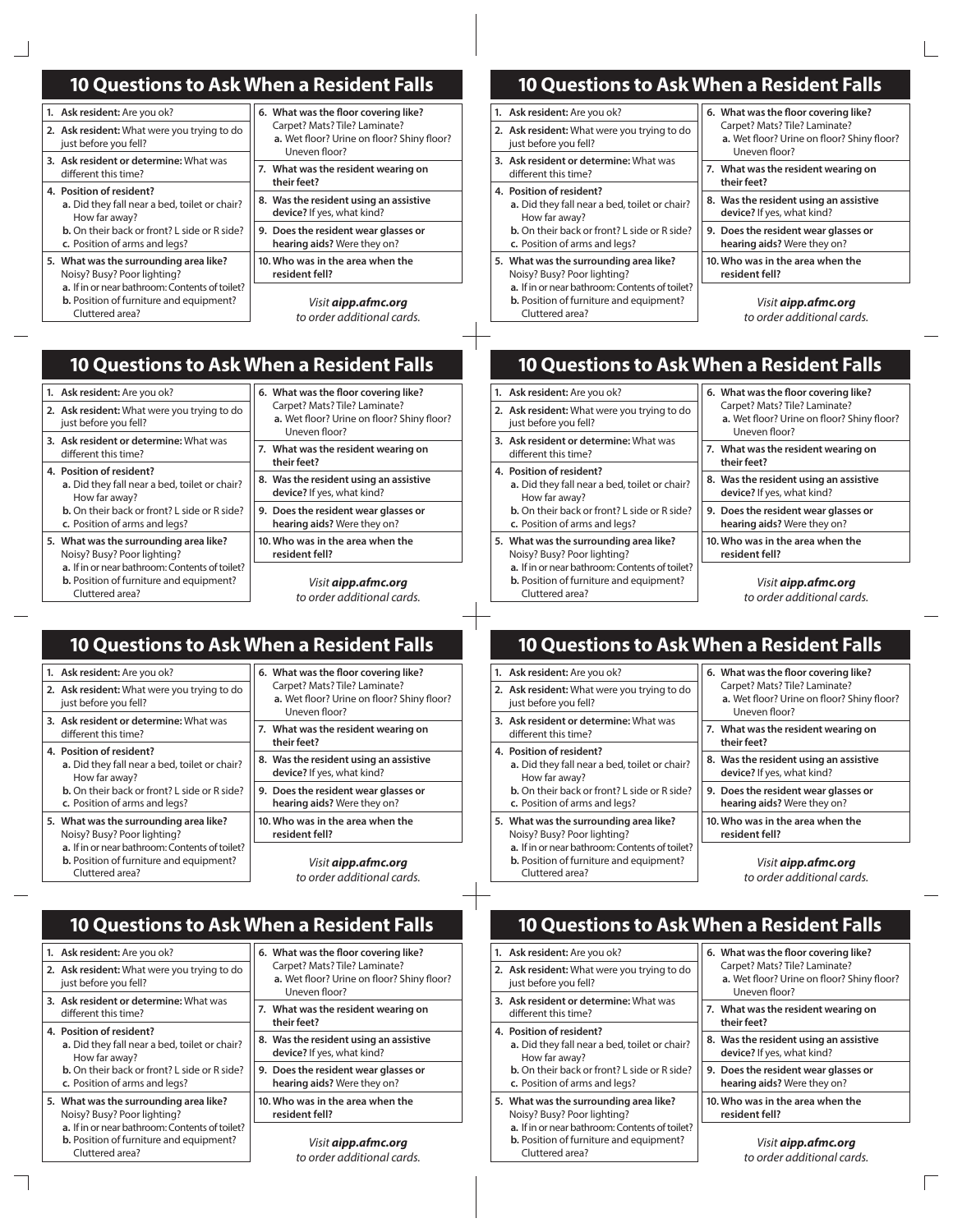## **10 Questions to Ask When a Resident Falls**

- **1. Ask resident:** Are you ok? **2. Ask resident:** What were you trying to do just before you fell?
- **3. Ask resident or determine:** What was different this time?
- **4. Position of resident?**
	- **a.** Did they fall near a bed, toilet or chair? How far away? **b.** On their back or front? L side or R side?
	- **c.** Position of arms and legs?
- **5. What was the surrounding area like?**  Noisy? Busy? Poor lighting? **a.** If in or near bathroom: Contents of toilet?
	- **b.** Position of furniture and equipment?
	- Cluttered area?
- **6. What was the floor covering like?**
	- Carpet? Mats? Tile? Laminate? **a.** Wet floor? Urine on floor? Shiny floor?
- Uneven floor? **7. What was the resident wearing on**
- **their feet?**
- **8. Was the resident using an assistive device?** If yes, what kind?
- **9. Does the resident wear glasses or hearing aids?** Were they on?
- **10. Who was in the area when the resident fell?** 
	- *Visit aipp.afmc.org to order additional cards.*

**6. What was the floor covering like?** Carpet? Mats? Tile? Laminate? **a.** Wet floor? Urine on floor? Shiny floor?

**7. What was the resident wearing on** 

**8. Was the resident using an assistive device?** If yes, what kind? **9. Does the resident wear glasses or hearing aids?** Were they on? **10. Who was in the area when the** 

Uneven floor?

**their feet?**

**resident fell?** 

# **10 Questions to Ask When a Resident Falls**

- **1. Ask resident:** Are you ok? **2. Ask resident:** What were you trying to do just before you fell? **3. Ask resident or determine:** What was different this time? **4. Position of resident? a.** Did they fall near a bed, toilet or chair?
	- How far away? **b.** On their back or front? L side or R side? **c.** Position of arms and legs?
- **5. What was the surrounding area like?**  Noisy? Busy? Poor lighting?
	- **a.** If in or near bathroom: Contents of toilet?
	- **b.** Position of furniture and equipment?
	- Cluttered area?

# **10 Questions to Ask When a Resident Falls**

**1. Ask resident:** Are you ok?

- **2. Ask resident:** What were you trying to do just before you fell?
- **3. Ask resident or determine:** What was
- different this time?
- **4. Position of resident? a.** Did they fall near a bed, toilet or chair?
- How far away? **b.** On their back or front? L side or R side?
- **c.** Position of arms and legs?
- **5. What was the surrounding area like?**  Noisy? Busy? Poor lighting? **a.** If in or near bathroom: Contents of toilet? **b.** Position of furniture and equipment?
	- Cluttered area?
- **6. What was the floor covering like?** Carpet? Mats? Tile? Laminate?
	- **a.** Wet floor? Urine on floor? Shiny floor? Uneven floor?

*Visit aipp.afmc.org to order additional cards.*

- **7. What was the resident wearing on their feet?**
- **8. Was the resident using an assistive device?** If yes, what kind?
- **9. Does the resident wear glasses or hearing aids?** Were they on?
- **10. Who was in the area when the resident fell?** 
	- *Visit aipp.afmc.org to order additional cards.*

# **10 Questions to Ask When a Resident Falls**

**1. Ask resident:** Are you ok? **2. Ask resident:** What were you trying to do just before you fell? **3. Ask resident or determine:** What was different this time? **4. Position of resident? a.** Did they fall near a bed, toilet or chair? How far away? **b.** On their back or front? L side or R side? **c.** Position of arms and legs? **5. What was the surrounding area like?**  Noisy? Busy? Poor lighting? **a.** If in or near bathroom: Contents of toilet? **b.** Position of furniture and equipment? Cluttered area? Uneven floor? **their feet? 9. Does the resident wear glasses or 10. Who was in the area when the resident fell?** 

## **6. What was the floor covering like?** Carpet? Mats? Tile? Laminate? **a.** Wet floor? Urine on floor? Shiny floor?

- **7. What was the resident wearing on**
- **8. Was the resident using an assistive device?** If yes, what kind?
- **hearing aids?** Were they on?
- - *Visit aipp.afmc.org to order additional cards.*

# **10 Questions to Ask When a Resident Falls**

#### **1. Ask resident:** Are you ok?

- **2. Ask resident:** What were you trying to do just before you fell?
- **3. Ask resident or determine:** What was different this time?
- **4. Position of resident?**
- **a.** Did they fall near a bed, toilet or chair? How far away?
- **b.** On their back or front? L side or R side? **c.** Position of arms and legs?
- **5. What was the surrounding area like?**  Noisy? Busy? Poor lighting? **a.** If in or near bathroom: Contents of toilet? **b.** Position of furniture and equipment?
	- Cluttered area?
- **6. What was the floor covering like?** Carpet? Mats? Tile? Laminate?
	- **a.** Wet floor? Urine on floor? Shiny floor? Uneven floor?
- **7. What was the resident wearing on their feet?**
- **8. Was the resident using an assistive device?** If yes, what kind?
- **9. Does the resident wear glasses or**
- **hearing aids?** Were they on?
- **10. Who was in the area when the resident fell?** 
	- *Visit aipp.afmc.org to order additional cards.*

# **10 Questions to Ask When a Resident Falls**

- **1. Ask resident:** Are you ok?
- **2. Ask resident:** What were you trying to do
- just before you fell? **3. Ask resident or determine:** What was different this time?
- **4. Position of resident?**
- **a.** Did they fall near a bed, toilet or chair? How far away? **b.** On their back or front? L side or R side?
- **c.** Position of arms and legs? **5. What was the surrounding area like?**  Noisy? Busy? Poor lighting? **a.** If in or near bathroom: Contents of toilet? **b.** Position of furniture and equipment?
	- Cluttered area?
- **6. What was the floor covering like?** Carpet? Mats? Tile? Laminate?
	- **a.** Wet floor? Urine on floor? Shiny floor? Uneven floor?
- 
- 
- **7. What was the resident wearing on their feet?**
- **8. Was the resident using an assistive**
- **device?** If yes, what kind? **9. Does the resident wear glasses or**
- **hearing aids?** Were they on?
- **10. Who was in the area when the resident fell?**

**6. What was the floor covering like?** Carpet? Mats? Tile? Laminate? **a.** Wet floor? Urine on floor? Shiny floor?

**7. What was the resident wearing on** 

**8. Was the resident using an assistive device?** If yes, what kind? **9. Does the resident wear glasses or hearing aids?** Were they on? **10. Who was in the area when the** 

*Visit aipp.afmc.org*

**8. Was the resident using an assistive device?** If yes, what kind? **9. Does the resident wear glasses or hearing aids?** Were they on? **10. Who was in the area when the** 

> *Visit aipp.afmc.org to order additional cards.*

**resident fell?** 

Uneven floor?

**their feet?**

**resident fell?** 

*Visit aipp.afmc.org to order additional cards.*

# **10 Questions to Ask When a Resident Falls**

- **1. Ask resident:** Are you ok?
- **2. Ask resident:** What were you trying to do just before you fell?
- **3. Ask resident or determine:** What was different this time?
- **4. Position of resident?**

Cluttered area?

- **a.** Did they fall near a bed, toilet or chair? How far away?
- **b.** On their back or front? L side or R side? **c.** Position of arms and legs?
- **5. What was the surrounding area like?**  Noisy? Busy? Poor lighting? **a.** If in or near bathroom: Contents of toilet?
	- **b.** Position of furniture and equipment?
		- *to order additional cards.*

# **10 Questions to Ask When a Resident Falls**

- **1. Ask resident:** Are you ok? **2. Ask resident:** What were you trying to do just before you fell? **3. Ask resident or determine:** What was different this time? **4. Position of resident? 6. What was the floor covering like?** Carpet? Mats? Tile? Laminate? **a.** Wet floor? Urine on floor? Shiny floor? Uneven floor? **7. What was the resident wearing on their feet?**
	- **a.** Did they fall near a bed, toilet or chair? How far away? **b.** On their back or front? L side or R side?
- **c.** Position of arms and legs? **5. What was the surrounding area like?**
- Noisy? Busy? Poor lighting? **a.** If in or near bathroom: Contents of toilet?
	- **b.** Position of furniture and equipment? Cluttered area?